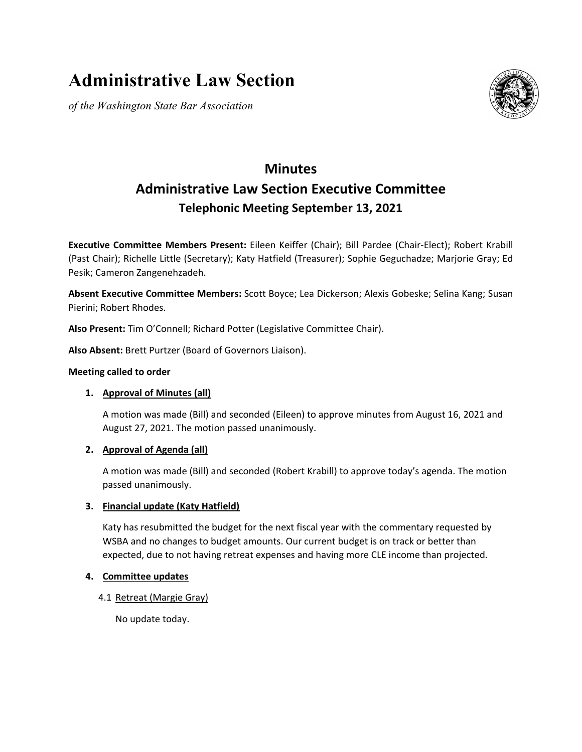# **Administrative Law Section**

*of the Washington State Bar Association*



# **Minutes Administrative Law Section Executive Committee Telephonic Meeting September 13, 2021**

**Executive Committee Members Present:** Eileen Keiffer (Chair); Bill Pardee (Chair-Elect); Robert Krabill (Past Chair); Richelle Little (Secretary); Katy Hatfield (Treasurer); Sophie Geguchadze; Marjorie Gray; Ed Pesik; Cameron Zangenehzadeh.

**Absent Executive Committee Members:** Scott Boyce; Lea Dickerson; Alexis Gobeske; Selina Kang; Susan Pierini; Robert Rhodes.

**Also Present:** Tim O'Connell; Richard Potter (Legislative Committee Chair).

**Also Absent:** Brett Purtzer (Board of Governors Liaison).

# **Meeting called to order**

# **1. Approval of Minutes (all)**

A motion was made (Bill) and seconded (Eileen) to approve minutes from August 16, 2021 and August 27, 2021. The motion passed unanimously.

# **2. Approval of Agenda (all)**

A motion was made (Bill) and seconded (Robert Krabill) to approve today's agenda. The motion passed unanimously.

# **3. Financial update (Katy Hatfield)**

Katy has resubmitted the budget for the next fiscal year with the commentary requested by WSBA and no changes to budget amounts. Our current budget is on track or better than expected, due to not having retreat expenses and having more CLE income than projected.

# **4. Committee updates**

4.1 Retreat (Margie Gray)

No update today.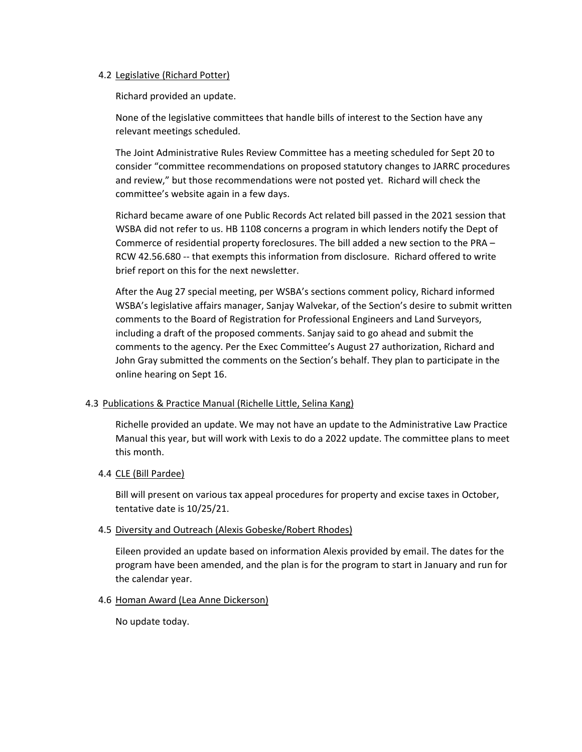#### 4.2 Legislative (Richard Potter)

Richard provided an update.

None of the legislative committees that handle bills of interest to the Section have any relevant meetings scheduled.

The Joint Administrative Rules Review Committee has a meeting scheduled for Sept 20 to consider "committee recommendations on proposed statutory changes to JARRC procedures and review," but those recommendations were not posted yet. Richard will check the committee's website again in a few days.

Richard became aware of one Public Records Act related bill passed in the 2021 session that WSBA did not refer to us. HB 1108 concerns a program in which lenders notify the Dept of Commerce of residential property foreclosures. The bill added a new section to the PRA – RCW 42.56.680 -- that exempts this information from disclosure. Richard offered to write brief report on this for the next newsletter.

After the Aug 27 special meeting, per WSBA's sections comment policy, Richard informed WSBA's legislative affairs manager, Sanjay Walvekar, of the Section's desire to submit written comments to the Board of Registration for Professional Engineers and Land Surveyors, including a draft of the proposed comments. Sanjay said to go ahead and submit the comments to the agency. Per the Exec Committee's August 27 authorization, Richard and John Gray submitted the comments on the Section's behalf. They plan to participate in the online hearing on Sept 16.

# 4.3 Publications & Practice Manual (Richelle Little, Selina Kang)

Richelle provided an update. We may not have an update to the Administrative Law Practice Manual this year, but will work with Lexis to do a 2022 update. The committee plans to meet this month.

# 4.4 CLE (Bill Pardee)

Bill will present on various tax appeal procedures for property and excise taxes in October, tentative date is 10/25/21.

#### 4.5 Diversity and Outreach (Alexis Gobeske/Robert Rhodes)

Eileen provided an update based on information Alexis provided by email. The dates for the program have been amended, and the plan is for the program to start in January and run for the calendar year.

#### 4.6 Homan Award (Lea Anne Dickerson)

No update today.